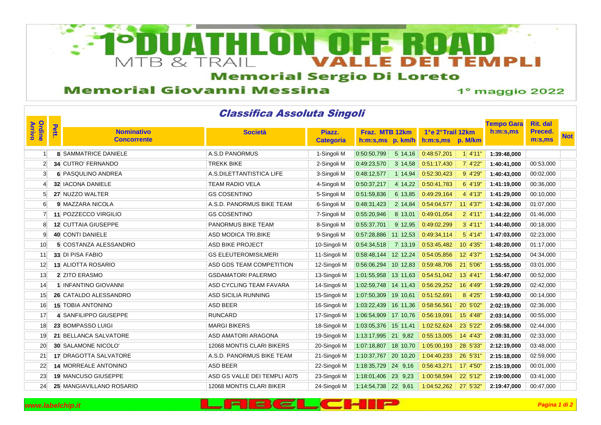

## **Memorial Sergio Di Loreto**

## **Memorial Giovanni Messina**

1° maggio 2022

| <b>Classifica Assoluta Singoli</b> |       |                             |                              |                  |                                    |                                 |             |           |            |  |  |
|------------------------------------|-------|-----------------------------|------------------------------|------------------|------------------------------------|---------------------------------|-------------|-----------|------------|--|--|
|                                    |       | <b>Tempo Gara</b>           |                              |                  |                                    |                                 |             | Rit. dal  |            |  |  |
| Ordine<br><b>Arrivo</b>            | Pett. | <b>Nominativo</b>           | <b>Società</b>               | Piazz.           | Fraz. MTB 12km                     | 1°e 2°Trail 12km                | h:m:s,ms    | Preced.   | <b>Not</b> |  |  |
|                                    |       | <b>Concorrente</b>          |                              | <b>Categoria</b> | $h:m:s,ms$ p. $km/h$               | h:m:s,ms<br>p. M/km             |             | m:s, ms   |            |  |  |
| -1                                 |       | <b>8 SAMMATRICE DANIELE</b> | A.S.D PANORMUS               | 1-Singoli M      | 0:50:50,799<br>$5 \, 14,16$        | 0.48:57,201<br>$1 \mid 4'11"$   | 1:39:48,000 |           |            |  |  |
| $\overline{2}$                     |       | 34 CUTRO' FERNANDO          | <b>TREKK BIKE</b>            | 2-Singoli M      | 0:49:23,570<br>$3 \, 14,58$        | 0:51:17,430<br>$7 \mid 4'22"$   | 1:40:41,000 | 00:53,000 |            |  |  |
| 3                                  |       | 6 PASQULINO ANDREA          | A.S.DILETTANTISTICA LIFE     | 3-Singoli M      | 0:48:12,577<br>$1 \mid 14,94$      | 0.52:30,423<br>9 4'29'          | 1:40:43,000 | 00:02,000 |            |  |  |
| 4                                  |       | 32 IACONA DANIELE           | <b>TEAM RADIO VELA</b>       | 4-Singoli M      | 0:50:37,217<br>$4 \mid 14,22 \mid$ | 0:50:41,783<br>6 4'19'          | 1:41:19,000 | 00:36,000 |            |  |  |
| 5                                  |       | 27 NUZZO WALTER             | <b>GS COSENTINO</b>          | 5-Singoli M      | 0:51:59,836<br>6 13,85             | 0:49:29,164<br>4' 4' 13'        | 1:41:29,000 | 00:10,000 |            |  |  |
| 6                                  |       | 9 MAZZARA NICOLA            | A.S.D. PANORMUS BIKE TEAM    | 6-Singoli M      | 0:48:31,423<br>$2 \mid 14,84 \mid$ | 0:54:04,577<br>$11 \vert 4'37'$ | 1:42:36,000 | 01:07,000 |            |  |  |
| $\overline{7}$                     | -11   | POZZECCO VIRGILIO           | <b>GS COSENTINO</b>          | 7-Singoli M      | 0:55:20,946<br>8 13,01             | 0:49:01.054<br>$2 \mid 4'11$    | 1:44:22,000 | 01:46,000 |            |  |  |
| 8                                  |       | <b>12 CUTTAIA GIUSEPPE</b>  | PANORMUS BIKE TEAM           | 8-Singoli M      | 0:55:37,701<br>$9 \mid 12,95$      | 0:49:02,299<br>3'4'11'          | 1:44:40,000 | 00:18,000 |            |  |  |
| 9                                  |       | <b>40 CONTI DANIELE</b>     | ASD MODICA TRI.BIKE          | 9-Singoli M      | 0:57:28,886<br>$11$ 12,53          | 0:49:34,114<br>$5 \, 4'14"$     | 1:47:03,000 | 02:23,000 |            |  |  |
| 10                                 |       | 5 COSTANZA ALESSANDRO       | <b>ASD BIKE PROJECT</b>      | 10-Singoli M     | 0:54:34,518<br>$7 \, 13,19$        | 0.53.45,482<br>$10$ 4'35'       | 1:48:20,000 | 01:17,000 |            |  |  |
| 11                                 |       | 33 DI PISA FABIO            | <b>GS ELEUTEROMISILMERI</b>  | 11-Singoli M     | $0.58.48,144$ 12 12,24             | 0.54:05,856<br>$12$ 4'37        | 1:52:54,000 | 04:34,000 |            |  |  |
| 12                                 |       | <b>13 ALIOTTA ROSARIO</b>   | ASD GDS TEAM COMPETITION     | 12-Singoli M     | $0.56:06,294$ 10 12,83             | 0.59:48,706<br>21 5'06'         | 1:55:55,000 | 03:01,000 |            |  |  |
| 13                                 |       | 2 ZITO ERASMO               | <b>GSDAMATORI PALERMO</b>    | 13-Singoli M     | $1:01:55,958$ 13 11,63             | 0:54:51,042<br>$13$ 4'41"       | 1:56:47,000 | 00:52,000 |            |  |  |
| 14                                 |       | 1 INFANTINO GIOVANNI        | ASD CYCLING TEAM FAVARA      | 14-Singoli M     | 1:02:59,748 14 11,43               | 0:56:29,252<br>16 4'49'         | 1:59:29,000 | 02:42,000 |            |  |  |
| 15                                 |       | 26 CATALDO ALESSANDRO       | <b>ASD SICILIA RUNNING</b>   | 15-Singoli M     | 1:07:50,309 19 10,61               | 0:51:52,691<br>8 4'25'          | 1:59:43,000 | 00:14,000 |            |  |  |
| 16                                 |       | <b>15 TOBIA ANTONINO</b>    | <b>ASD BEER</b>              | 16-Singoli M     | $1:03:22,439$ 16 11,36             | 0.58.56,561<br>20 5'02"         | 2:02:19,000 | 02:36,000 |            |  |  |
| 17                                 |       | 4 SANFILIPPO GIUSEPPE       | <b>RUNCARD</b>               | 17-Singoli M     | 1:06:54,909 17 10.76               | 0:56:19,091<br>$15$ 4'48'       | 2:03:14,000 | 00:55,000 |            |  |  |
| 18                                 |       | 23 BOMPASSO LUIGI           | <b>MARGI BIKERS</b>          | 18-Singoli M     | $1:03:05,376$ 15 11,41             | 1:02:52,624<br>23 5'22'         | 2:05:58,000 | 02:44,000 |            |  |  |
| 19                                 | 21    | <b>BELLANCA SALVATORE</b>   | ASD AMATORI ARAGONA          | 19-Singoli M     | 1:13:17,995 21 9,82                | 0:55:13,005<br>$14$ 4'43'       | 2:08:31,000 | 02:33,000 |            |  |  |
| 20                                 |       | <b>30 SALAMONE NICOLO'</b>  | 12068 MONTIS CLARI BIKERS    | 20-Singoli M     | 1:07:18,807   18 10,70             | 1:05:00,193<br>28 5'33'         | 2:12:19,000 | 03:48,000 |            |  |  |
| 21                                 |       | 17 DRAGOTTA SALVATORE       | A.S.D. PANORMUS BIKE TEAM    | 21-Singoli M     | $1:10:37,767$ 20 10,20             | 1:04:40,233<br>26 5'31"         | 2:15:18,000 | 02:59,000 |            |  |  |
| 22                                 |       | <b>14 MORREALE ANTONINO</b> | <b>ASD BEER</b>              | 22-Singoli M     | $1:18:35,729$ 24 9,16              | 0:56:43,271<br>$17$ 4'50"       | 2:15:19,000 | 00:01,000 |            |  |  |
| 23                                 |       | <b>19 MANCUSO GIUSEPPE</b>  | ASD GS VALLE DEI TEMPLI A075 | 23-Singoli M     | $1:18:01,406$ 23 9,23              | 1:00:58,594<br>22 5'12"         | 2:19:00,000 | 03:41,000 |            |  |  |
| 24                                 |       | 25 MANGIAVILLANO ROSARIO    | 12068 MONTIS CLARI BIKER     | 24-Singoli M     | $1:14:54,738$ 22 9.61              | 1:04:52,262<br>27 5'32"         | 2:19:47,000 | 00:47,000 |            |  |  |

## **www.labelchip.it**